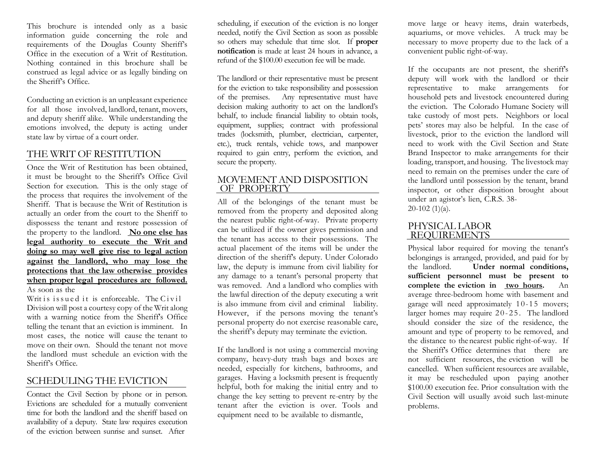This brochure is intended only as a basic information guide concerning the role and requirements of the Douglas County Sheriff's Office in the execution of a Writ of Restitution. Nothing contained in this brochure shall be construed as legal advice or as legally binding on the Sheriff's Office.

Conducting an eviction is an unpleasant experience for all those involved, landlord, tenant, movers, and deputy sheriff alike. While understanding the emotions involved, the deputy is acting under state law by virtue of a court order.

## THE WRIT OF RESTITUTION

Once the Writ of Restitution has been obtained, it must be brought to the Sheriff's Office Civil Section for execution. This is the only stage of the process that requires the involvement of the Sheriff. That is because the Writ of Restitution is actually an order from the court to the Sheriff to dispossess the tenant and restore possession of the property to the landlord. **No one else has legal authority to execute the Writ and doing so may well give rise to legal action against the landlord, who may lose the protections that the law otherwise provides when proper legal procedures are followed.**  As soon as the

Writ is issued it is enforceable. The  $C$ ivil Division will post a courtesy copy of the Writ along with a warning notice from the Sheriff's Office telling the tenant that an eviction is imminent. In most cases, the notice will cause the tenant to move on their own. Should the tenant not move the landlord must schedule an eviction with the Sheriff's Office.

## SCHEDULING THE EVICTION

Contact the Civil Section by phone or in person. Evictions are scheduled for a mutually convenient time for both the landlord and the sheriff based on availability of a deputy. State law requires execution of the eviction between sunrise and sunset. After

scheduling, if execution of the eviction is no longer needed, notify the Civil Section as soon as possible so others may schedule that time slot. If **proper notification** is made at least 24 hours in advance, a refund of the \$100.00 execution fee will be made.

The landlord or their representative must be present for the eviction to take responsibility and possession of the premises. Any representative must have decision making authority to act on the landlord's behalf, to include financial liability to obtain tools, equipment, supplies; contract with professional trades (locksmith, plumber, electrician, carpenter, etc.), truck rentals, vehicle tows, and manpower required to gain entry, perform the eviction, and secure the property.

### MOVEMENT AND DISPOSITION OF PROPERTY

All of the belongings of the tenant must be removed from the property and deposited along the nearest public right-of-way. Private property can be utilized if the owner gives permission and the tenant has access to their possessions. The actual placement of the items will be under the direction of the sheriff's deputy. Under Colorado law, the deputy is immune from civil liability for any damage to a tenant's personal property that was removed. And a landlord who complies with the lawful direction of the deputy executing a writ is also immune from civil and criminal liability. However, if the persons moving the tenant's personal property do not exercise reasonable care, the sheriff's deputy may terminate the eviction.

If the landlord is not using a commercial moving company, heavy-duty trash bags and boxes are needed, especially for kitchens, bathrooms, and garages. Having a locksmith present is frequently helpful, both for making the initial entry and to change the key setting to prevent re-entry by the tenant after the eviction is over. Tools and equipment need to be available to dismantle,

move large or heavy items, drain waterbeds, aquariums, or move vehicles. A truck may be necessary to move property due to the lack of a convenient public right-of-way.

If the occupants are not present, the sheriff's deputy will work with the landlord or their representative to make arrangements for household pets and livestock encountered during the eviction. The Colorado Humane Society will take custody of most pets. Neighbors or local pets' stores may also be helpful. In the case of livestock, prior to the eviction the landlord will need to work with the Civil Section and State Brand Inspector to make arrangements for their loading, transport, and housing. The livestock may need to remain on the premises under the care of the landlord until possession by the tenant, brand inspector, or other disposition brought about under an agistor's lien, C.R.S. 38- 20-102 (1)(a).

## PHYSICAL LABOR REQUIREMENTS

Physical labor required for moving the tenant's belongings is arranged, provided, and paid for by<br>the landlord. Under normal conditions. Under normal conditions, **sufficient personnel must be present to complete the eviction in two hours.** An average three-bedroom home with basement and garage will need approximately 10-15 movers; larger homes may require 20-25. The landlord should consider the size of the residence, the amount and type of property to be removed, and the distance to the nearest public right-of-way. If the Sheriff's Office determines that there are not sufficient resources, the eviction will be cancelled. When sufficient resources are available, it may be rescheduled upon paying another \$100.00 execution fee. Prior consultation with the Civil Section will usually avoid such last-minute problems.